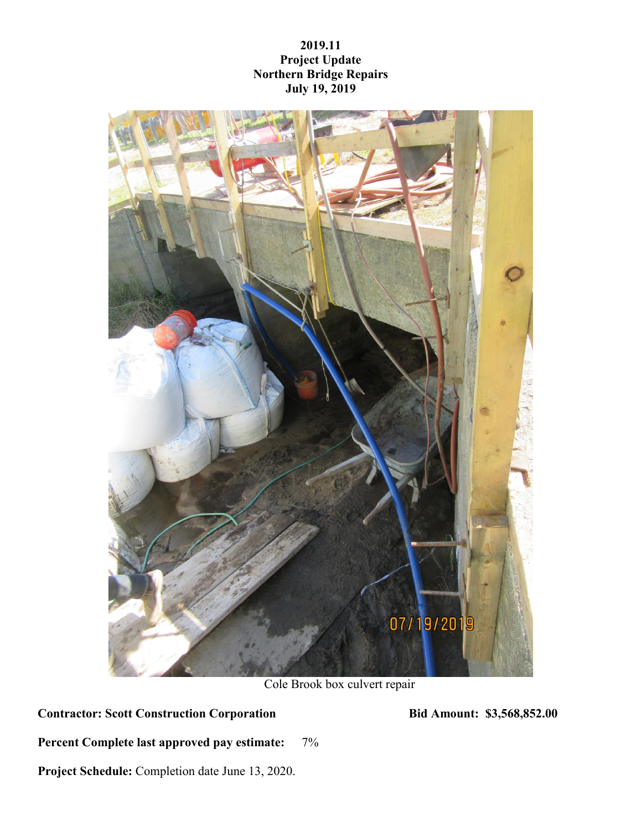## **2019.11 Project Update Northern Bridge Repairs July 19, 2019**



Cole Brook box culvert repair

**Contractor: Scott Construction Corporation Bid Amount: \$3,568,852.00**

**Percent Complete last approved pay estimate:** 7%

**Project Schedule:** Completion date June 13, 2020.